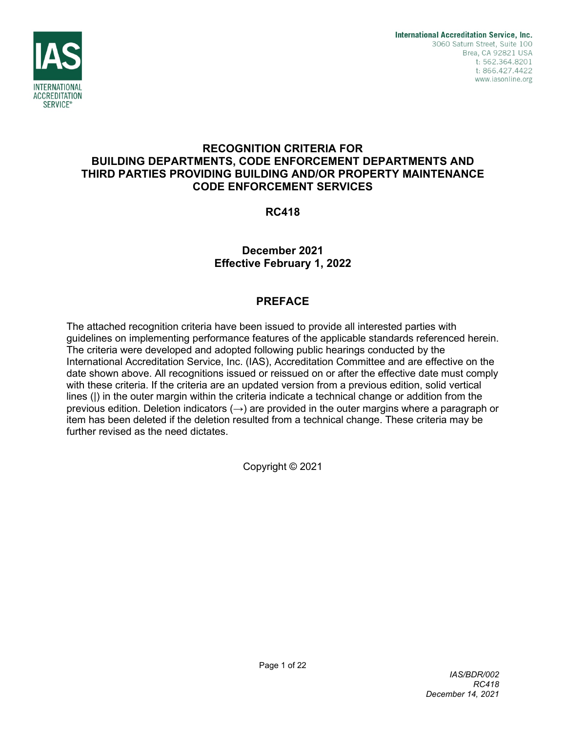

# **RECOGNITION CRITERIA FOR BUILDING DEPARTMENTS, CODE ENFORCEMENT DEPARTMENTS AND THIRD PARTIES PROVIDING BUILDING AND/OR PROPERTY MAINTENANCE CODE ENFORCEMENT SERVICES**

**RC418**

**December 2021 Effective February 1, 2022**

# **PREFACE**

The attached recognition criteria have been issued to provide all interested parties with guidelines on implementing performance features of the applicable standards referenced herein. The criteria were developed and adopted following public hearings conducted by the International Accreditation Service, Inc. (IAS), Accreditation Committee and are effective on the date shown above. All recognitions issued or reissued on or after the effective date must comply with these criteria. If the criteria are an updated version from a previous edition, solid vertical lines (|) in the outer margin within the criteria indicate a technical change or addition from the previous edition. Deletion indicators  $(\rightarrow)$  are provided in the outer margins where a paragraph or item has been deleted if the deletion resulted from a technical change. These criteria may be further revised as the need dictates.

Copyright © 2021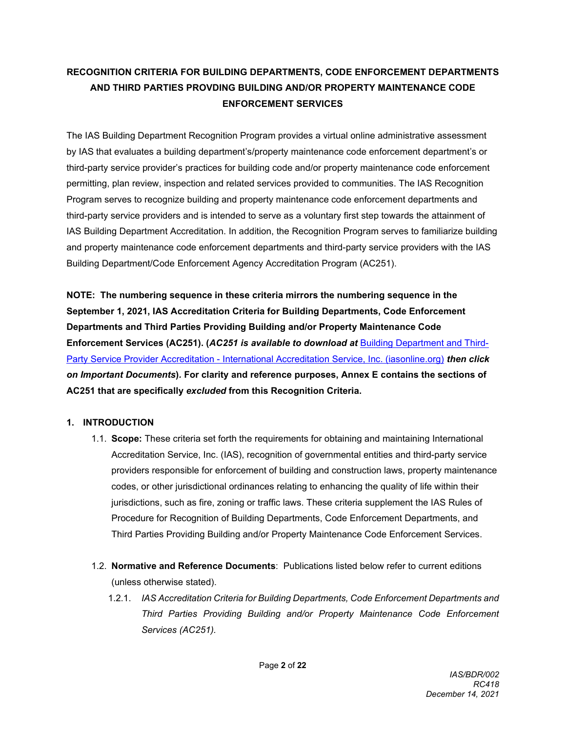# **RECOGNITION CRITERIA FOR BUILDING DEPARTMENTS, CODE ENFORCEMENT DEPARTMENTS AND THIRD PARTIES PROVDING BUILDING AND/OR PROPERTY MAINTENANCE CODE ENFORCEMENT SERVICES**

The IAS Building Department Recognition Program provides a virtual online administrative assessment by IAS that evaluates a building department's/property maintenance code enforcement department's or third-party service provider's practices for building code and/or property maintenance code enforcement permitting, plan review, inspection and related services provided to communities. The IAS Recognition Program serves to recognize building and property maintenance code enforcement departments and third-party service providers and is intended to serve as a voluntary first step towards the attainment of IAS Building Department Accreditation. In addition, the Recognition Program serves to familiarize building and property maintenance code enforcement departments and third-party service providers with the IAS Building Department/Code Enforcement Agency Accreditation Program (AC251).

**NOTE: The numbering sequence in these criteria mirrors the numbering sequence in the September 1, 2021, IAS Accreditation Criteria for Building Departments, Code Enforcement Departments and Third Parties Providing Building and/or Property Maintenance Code Enforcement Services (AC251). (***AC251 is available to download at* [Building Department and Third-](https://www.iasonline.org/services/building-departments-and-third-party-service-providers/)Party Service Provider Accreditation - [International Accreditation Service, Inc. \(iasonline.org\)](https://www.iasonline.org/services/building-departments-and-third-party-service-providers/) *then click on Important Documents***)***.* **For clarity and reference purposes, Annex E contains the sections of AC251 that are specifically** *excluded* **from this Recognition Criteria.**

# **1. INTRODUCTION**

- 1.1. **Scope:** These criteria set forth the requirements for obtaining and maintaining International Accreditation Service, Inc. (IAS), recognition of governmental entities and third-party service providers responsible for enforcement of building and construction laws, property maintenance codes, or other jurisdictional ordinances relating to enhancing the quality of life within their jurisdictions, such as fire, zoning or traffic laws. These criteria supplement the IAS Rules of Procedure for Recognition of Building Departments, Code Enforcement Departments, and Third Parties Providing Building and/or Property Maintenance Code Enforcement Services.
- 1.2. **Normative and Reference Documents**: Publications listed below refer to current editions (unless otherwise stated).
	- 1.2.1. *IAS Accreditation Criteria for Building Departments, Code Enforcement Departments and Third Parties Providing Building and/or Property Maintenance Code Enforcement Services (AC251).*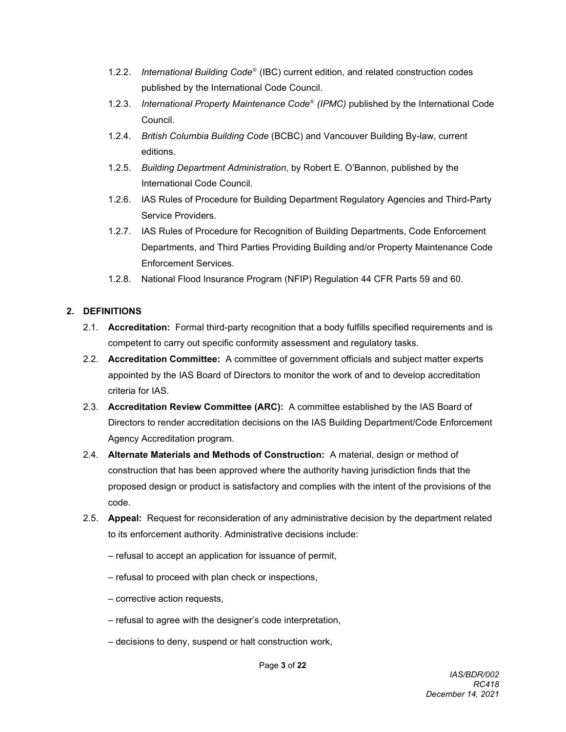- 1.2.2. *International Building Code*® (IBC) current edition, and related construction codes published by the International Code Council.
- 1.2.3. *International Property Maintenance Code*® *(IPMC)* published by the International Code Council.
- 1.2.4. *British Columbia Building Code* (BCBC) and Vancouver Building By-law, current editions.
- 1.2.5. *Building Department Administration*, by Robert E. O'Bannon, published by the International Code Council.
- 1.2.6. IAS Rules of Procedure for Building Department Regulatory Agencies and Third-Party Service Providers.
- 1.2.7. IAS Rules of Procedure for Recognition of Building Departments, Code Enforcement Departments, and Third Parties Providing Building and/or Property Maintenance Code Enforcement Services.
- 1.2.8. National Flood Insurance Program (NFIP) Regulation 44 CFR Parts 59 and 60.

# **2. DEFINITIONS**

- 2.1. **Accreditation:** Formal third-party recognition that a body fulfills specified requirements and is competent to carry out specific conformity assessment and regulatory tasks.
- 2.2. **Accreditation Committee:** A committee of government officials and subject matter experts appointed by the IAS Board of Directors to monitor the work of and to develop accreditation criteria for IAS.
- 2.3. **Accreditation Review Committee (ARC):** A committee established by the IAS Board of Directors to render accreditation decisions on the IAS Building Department/Code Enforcement Agency Accreditation program.
- 2.4. **Alternate Materials and Methods of Construction:** A material, design or method of construction that has been approved where the authority having jurisdiction finds that the proposed design or product is satisfactory and complies with the intent of the provisions of the code.
- 2.5. **Appeal:** Request for reconsideration of any administrative decision by the department related to its enforcement authority. Administrative decisions include:
	- refusal to accept an application for issuance of permit,
	- refusal to proceed with plan check or inspections,
	- corrective action requests,
	- refusal to agree with the designer's code interpretation,
	- decisions to deny, suspend or halt construction work,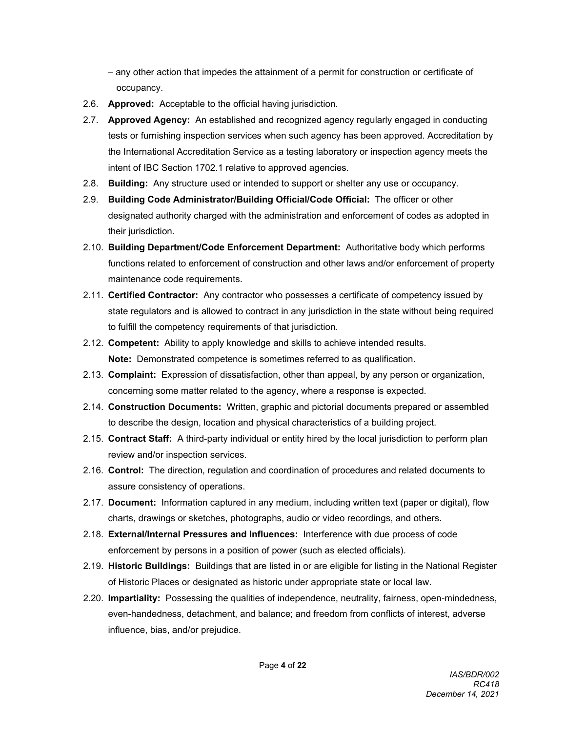- any other action that impedes the attainment of a permit for construction or certificate of occupancy.
- 2.6. **Approved:** Acceptable to the official having jurisdiction.
- 2.7. **Approved Agency:** An established and recognized agency regularly engaged in conducting tests or furnishing inspection services when such agency has been approved. Accreditation by the International Accreditation Service as a testing laboratory or inspection agency meets the intent of IBC Section 1702.1 relative to approved agencies.
- 2.8. **Building:** Any structure used or intended to support or shelter any use or occupancy.
- 2.9. **Building Code Administrator/Building Official/Code Official:** The officer or other designated authority charged with the administration and enforcement of codes as adopted in their jurisdiction.
- 2.10. **Building Department/Code Enforcement Department:** Authoritative body which performs functions related to enforcement of construction and other laws and/or enforcement of property maintenance code requirements.
- 2.11. **Certified Contractor:** Any contractor who possesses a certificate of competency issued by state regulators and is allowed to contract in any jurisdiction in the state without being required to fulfill the competency requirements of that jurisdiction.
- 2.12. **Competent:** Ability to apply knowledge and skills to achieve intended results. **Note:** Demonstrated competence is sometimes referred to as qualification.
- 2.13. **Complaint:** Expression of dissatisfaction, other than appeal, by any person or organization, concerning some matter related to the agency, where a response is expected.
- 2.14. **Construction Documents:** Written, graphic and pictorial documents prepared or assembled to describe the design, location and physical characteristics of a building project.
- 2.15. **Contract Staff:** A third-party individual or entity hired by the local jurisdiction to perform plan review and/or inspection services.
- 2.16. **Control:** The direction, regulation and coordination of procedures and related documents to assure consistency of operations.
- 2.17. **Document:** Information captured in any medium, including written text (paper or digital), flow charts, drawings or sketches, photographs, audio or video recordings, and others.
- 2.18. **External/Internal Pressures and Influences:** Interference with due process of code enforcement by persons in a position of power (such as elected officials).
- 2.19. **Historic Buildings:** Buildings that are listed in or are eligible for listing in the National Register of Historic Places or designated as historic under appropriate state or local law.
- 2.20. **Impartiality:** Possessing the qualities of independence, neutrality, fairness, open-mindedness, even-handedness, detachment, and balance; and freedom from conflicts of interest, adverse influence, bias, and/or prejudice.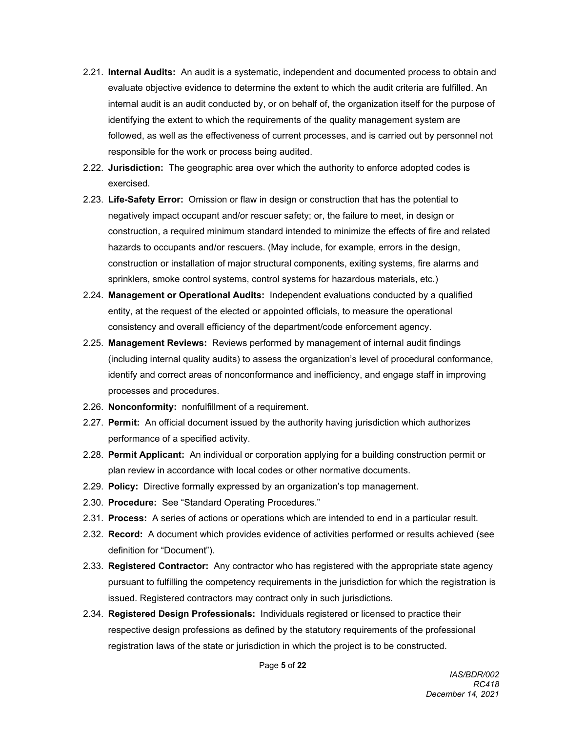- 2.21. **Internal Audits:** An audit is a systematic, independent and documented process to obtain and evaluate objective evidence to determine the extent to which the audit criteria are fulfilled. An internal audit is an audit conducted by, or on behalf of, the organization itself for the purpose of identifying the extent to which the requirements of the quality management system are followed, as well as the effectiveness of current processes, and is carried out by personnel not responsible for the work or process being audited.
- 2.22. **Jurisdiction:** The geographic area over which the authority to enforce adopted codes is exercised.
- 2.23. **Life-Safety Error:** Omission or flaw in design or construction that has the potential to negatively impact occupant and/or rescuer safety; or, the failure to meet, in design or construction, a required minimum standard intended to minimize the effects of fire and related hazards to occupants and/or rescuers. (May include, for example, errors in the design, construction or installation of major structural components, exiting systems, fire alarms and sprinklers, smoke control systems, control systems for hazardous materials, etc.)
- 2.24. **Management or Operational Audits:** Independent evaluations conducted by a qualified entity, at the request of the elected or appointed officials, to measure the operational consistency and overall efficiency of the department/code enforcement agency.
- 2.25. **Management Reviews:** Reviews performed by management of internal audit findings (including internal quality audits) to assess the organization's level of procedural conformance, identify and correct areas of nonconformance and inefficiency, and engage staff in improving processes and procedures.
- 2.26. **Nonconformity:** nonfulfillment of a requirement.
- 2.27. **Permit:** An official document issued by the authority having jurisdiction which authorizes performance of a specified activity.
- 2.28. **Permit Applicant:** An individual or corporation applying for a building construction permit or plan review in accordance with local codes or other normative documents.
- 2.29. **Policy:** Directive formally expressed by an organization's top management.
- 2.30. **Procedure:** See "Standard Operating Procedures."
- 2.31. **Process:** A series of actions or operations which are intended to end in a particular result.
- 2.32. **Record:** A document which provides evidence of activities performed or results achieved (see definition for "Document").
- 2.33. **Registered Contractor:** Any contractor who has registered with the appropriate state agency pursuant to fulfilling the competency requirements in the jurisdiction for which the registration is issued. Registered contractors may contract only in such jurisdictions.
- 2.34. **Registered Design Professionals:** Individuals registered or licensed to practice their respective design professions as defined by the statutory requirements of the professional registration laws of the state or jurisdiction in which the project is to be constructed.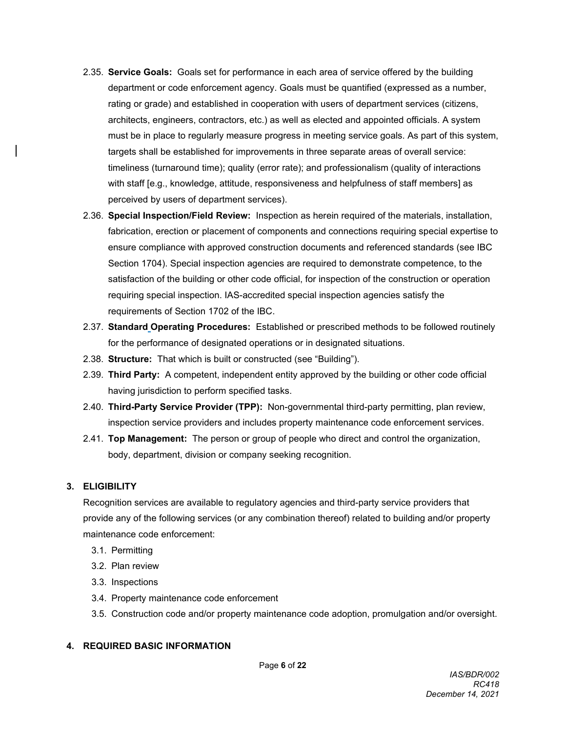- 2.35. **Service Goals:** Goals set for performance in each area of service offered by the building department or code enforcement agency. Goals must be quantified (expressed as a number, rating or grade) and established in cooperation with users of department services (citizens, architects, engineers, contractors, etc.) as well as elected and appointed officials. A system must be in place to regularly measure progress in meeting service goals. As part of this system, targets shall be established for improvements in three separate areas of overall service: timeliness (turnaround time); quality (error rate); and professionalism (quality of interactions with staff [e.g., knowledge, attitude, responsiveness and helpfulness of staff members] as perceived by users of department services).
- 2.36. **Special Inspection/Field Review:** Inspection as herein required of the materials, installation, fabrication, erection or placement of components and connections requiring special expertise to ensure compliance with approved construction documents and referenced standards (see IBC Section 1704). Special inspection agencies are required to demonstrate competence, to the satisfaction of the building or other code official, for inspection of the construction or operation requiring special inspection. IAS-accredited special inspection agencies satisfy the requirements of Section 1702 of the IBC.
- 2.37. **Standard Operating Procedures:** Established or prescribed methods to be followed routinely for the performance of designated operations or in designated situations.
- 2.38. **Structure:** That which is built or constructed (see "Building").
- 2.39. **Third Party:** A competent, independent entity approved by the building or other code official having jurisdiction to perform specified tasks.
- 2.40. **Third-Party Service Provider (TPP):** Non-governmental third-party permitting, plan review, inspection service providers and includes property maintenance code enforcement services.
- 2.41. **Top Management:** The person or group of people who direct and control the organization, body, department, division or company seeking recognition.

# **3. ELIGIBILITY**

Recognition services are available to regulatory agencies and third-party service providers that provide any of the following services (or any combination thereof) related to building and/or property maintenance code enforcement:

- 3.1. Permitting
- 3.2. Plan review
- 3.3. Inspections
- 3.4. Property maintenance code enforcement
- 3.5. Construction code and/or property maintenance code adoption, promulgation and/or oversight.

# **4. REQUIRED BASIC INFORMATION**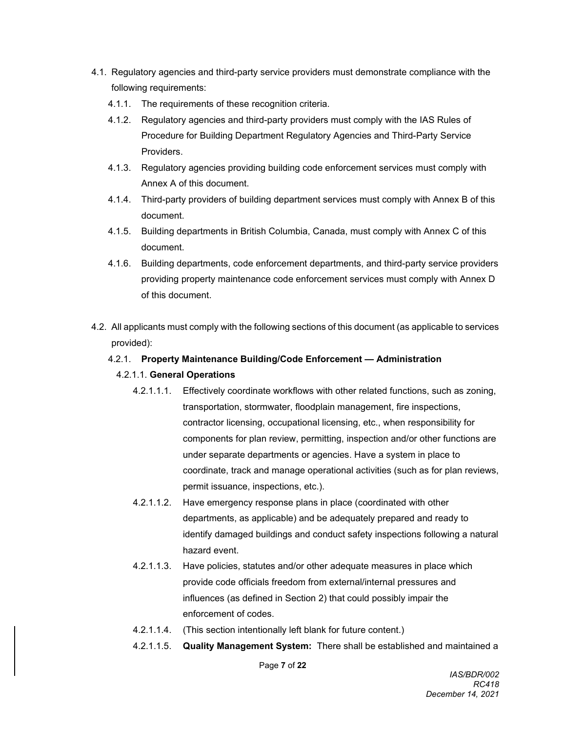- 4.1. Regulatory agencies and third-party service providers must demonstrate compliance with the following requirements:
	- 4.1.1. The requirements of these recognition criteria.
	- 4.1.2. Regulatory agencies and third-party providers must comply with the IAS Rules of Procedure for Building Department Regulatory Agencies and Third-Party Service Providers.
	- 4.1.3. Regulatory agencies providing building code enforcement services must comply with Annex A of this document.
	- 4.1.4. Third-party providers of building department services must comply with Annex B of this document.
	- 4.1.5. Building departments in British Columbia, Canada, must comply with Annex C of this document.
	- 4.1.6. Building departments, code enforcement departments, and third-party service providers providing property maintenance code enforcement services must comply with Annex D of this document.
- 4.2. All applicants must comply with the following sections of this document (as applicable to services provided):

## 4.2.1. **Property Maintenance Building/Code Enforcement — Administration**

#### 4.2.1.1. **General Operations**

- 4.2.1.1.1. Effectively coordinate workflows with other related functions, such as zoning, transportation, stormwater, floodplain management, fire inspections, contractor licensing, occupational licensing, etc., when responsibility for components for plan review, permitting, inspection and/or other functions are under separate departments or agencies. Have a system in place to coordinate, track and manage operational activities (such as for plan reviews, permit issuance, inspections, etc.).
- 4.2.1.1.2. Have emergency response plans in place (coordinated with other departments, as applicable) and be adequately prepared and ready to identify damaged buildings and conduct safety inspections following a natural hazard event.
- 4.2.1.1.3. Have policies, statutes and/or other adequate measures in place which provide code officials freedom from external/internal pressures and influences (as defined in Section 2) that could possibly impair the enforcement of codes.
- 4.2.1.1.4. (This section intentionally left blank for future content.)
- 4.2.1.1.5. **Quality Management System:** There shall be established and maintained a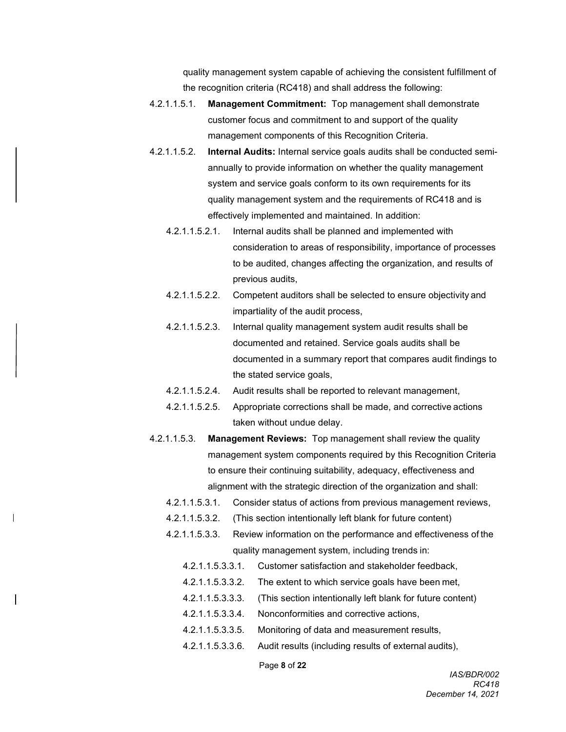quality management system capable of achieving the consistent fulfillment of the recognition criteria (RC418) and shall address the following:

- 4.2.1.1.5.1. **Management Commitment:** Top management shall demonstrate customer focus and commitment to and support of the quality management components of this Recognition Criteria.
- 4.2.1.1.5.2. **Internal Audits:** Internal service goals audits shall be conducted semiannually to provide information on whether the quality management system and service goals conform to its own requirements for its quality management system and the requirements of RC418 and is effectively implemented and maintained. In addition:
	- 4.2.1.1.5.2.1. Internal audits shall be planned and implemented with consideration to areas of responsibility, importance of processes to be audited, changes affecting the organization, and results of previous audits,
	- 4.2.1.1.5.2.2. Competent auditors shall be selected to ensure objectivity and impartiality of the audit process,
	- 4.2.1.1.5.2.3. Internal quality management system audit results shall be documented and retained. Service goals audits shall be documented in a summary report that compares audit findings to the stated service goals,
	- 4.2.1.1.5.2.4. Audit results shall be reported to relevant management,
	- 4.2.1.1.5.2.5. Appropriate corrections shall be made, and corrective actions taken without undue delay.
- 4.2.1.1.5.3. **Management Reviews:** Top management shall review the quality management system components required by this Recognition Criteria to ensure their continuing suitability, adequacy, effectiveness and alignment with the strategic direction of the organization and shall:
	- 4.2.1.1.5.3.1. Consider status of actions from previous management reviews,
	- 4.2.1.1.5.3.2. (This section intentionally left blank for future content)
	- 4.2.1.1.5.3.3. Review information on the performance and effectiveness of the quality management system, including trends in:
		- 4.2.1.1.5.3.3.1. Customer satisfaction and stakeholder feedback,
		- 4.2.1.1.5.3.3.2. The extent to which service goals have been met,
		- 4.2.1.1.5.3.3.3. (This section intentionally left blank for future content)
		- 4.2.1.1.5.3.3.4. Nonconformities and corrective actions,
		- 4.2.1.1.5.3.3.5. Monitoring of data and measurement results,
		- 4.2.1.1.5.3.3.6. Audit results (including results of external audits),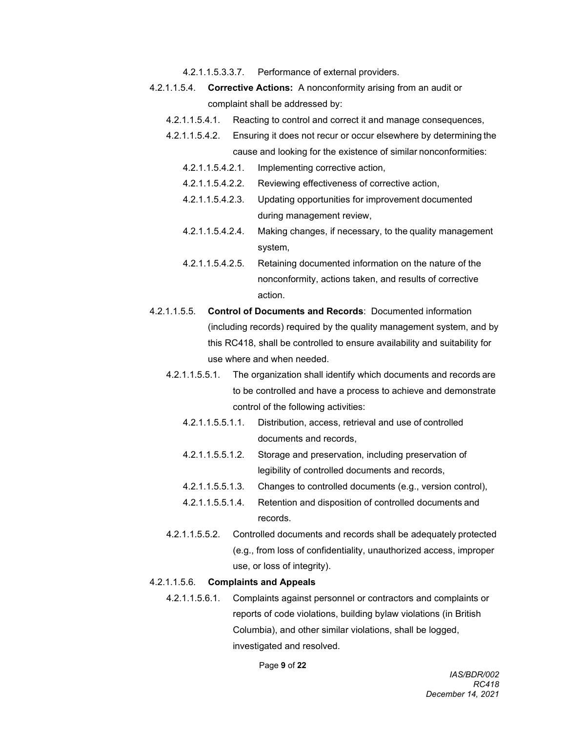4.2.1.1.5.3.3.7. Performance of external providers.

- 4.2.1.1.5.4. **Corrective Actions:** A nonconformity arising from an audit or complaint shall be addressed by:
	- 4.2.1.1.5.4.1. Reacting to control and correct it and manage consequences,
	- 4.2.1.1.5.4.2. Ensuring it does not recur or occur elsewhere by determining the cause and looking for the existence of similar nonconformities:
		- 4.2.1.1.5.4.2.1. Implementing corrective action,
		- 4.2.1.1.5.4.2.2. Reviewing effectiveness of corrective action,
		- 4.2.1.1.5.4.2.3. Updating opportunities for improvement documented during management review,
		- 4.2.1.1.5.4.2.4. Making changes, if necessary, to the quality management system,
		- 4.2.1.1.5.4.2.5. Retaining documented information on the nature of the nonconformity, actions taken, and results of corrective action.
- 4.2.1.1.5.5. **Control of Documents and Records**: Documented information (including records) required by the quality management system, and by this RC418, shall be controlled to ensure availability and suitability for use where and when needed.
	- 4.2.1.1.5.5.1. The organization shall identify which documents and records are to be controlled and have a process to achieve and demonstrate control of the following activities:
		- 4.2.1.1.5.5.1.1. Distribution, access, retrieval and use of controlled documents and records,
		- 4.2.1.1.5.5.1.2. Storage and preservation, including preservation of legibility of controlled documents and records,
		- 4.2.1.1.5.5.1.3. Changes to controlled documents (e.g., version control),
		- 4.2.1.1.5.5.1.4. Retention and disposition of controlled documents and records.
	- 4.2.1.1.5.5.2. Controlled documents and records shall be adequately protected (e.g., from loss of confidentiality, unauthorized access, improper use, or loss of integrity).

#### 4.2.1.1.5.6. **Complaints and Appeals**

4.2.1.1.5.6.1. Complaints against personnel or contractors and complaints or reports of code violations, building bylaw violations (in British Columbia), and other similar violations, shall be logged, investigated and resolved.

Page **9** of **22**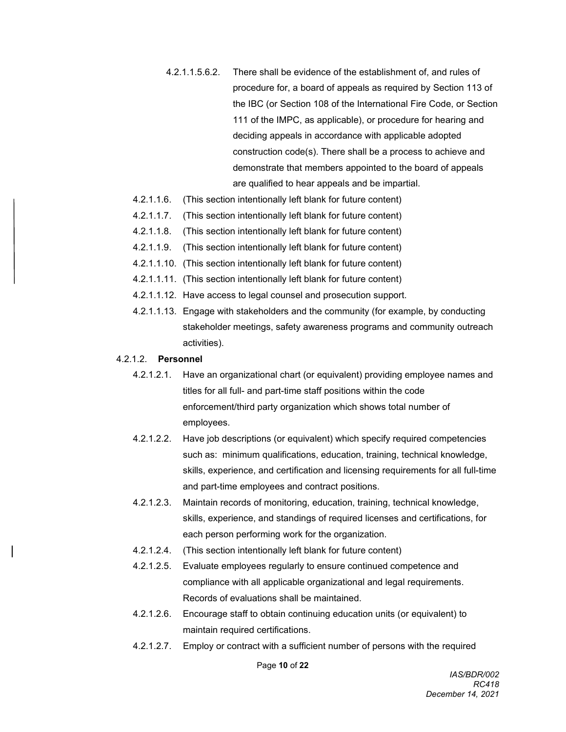- 4.2.1.1.5.6.2. There shall be evidence of the establishment of, and rules of procedure for, a board of appeals as required by Section 113 of the IBC (or Section 108 of the International Fire Code, or Section 111 of the IMPC, as applicable), or procedure for hearing and deciding appeals in accordance with applicable adopted construction code(s). There shall be a process to achieve and demonstrate that members appointed to the board of appeals are qualified to hear appeals and be impartial.
- 4.2.1.1.6. (This section intentionally left blank for future content)
- 4.2.1.1.7. (This section intentionally left blank for future content)
- 4.2.1.1.8. (This section intentionally left blank for future content)
- 4.2.1.1.9. (This section intentionally left blank for future content)
- 4.2.1.1.10. (This section intentionally left blank for future content)
- 4.2.1.1.11. (This section intentionally left blank for future content)
- 4.2.1.1.12. Have access to legal counsel and prosecution support.
- 4.2.1.1.13. Engage with stakeholders and the community (for example, by conducting stakeholder meetings, safety awareness programs and community outreach activities).

#### 4.2.1.2. **Personnel**

- 4.2.1.2.1. Have an organizational chart (or equivalent) providing employee names and titles for all full- and part-time staff positions within the code enforcement/third party organization which shows total number of employees.
- 4.2.1.2.2. Have job descriptions (or equivalent) which specify required competencies such as: minimum qualifications, education, training, technical knowledge, skills, experience, and certification and licensing requirements for all full-time and part-time employees and contract positions.
- 4.2.1.2.3. Maintain records of monitoring, education, training, technical knowledge, skills, experience, and standings of required licenses and certifications, for each person performing work for the organization.
- 4.2.1.2.4. (This section intentionally left blank for future content)
- 4.2.1.2.5. Evaluate employees regularly to ensure continued competence and compliance with all applicable organizational and legal requirements. Records of evaluations shall be maintained.
- 4.2.1.2.6. Encourage staff to obtain continuing education units (or equivalent) to maintain required certifications.
- 4.2.1.2.7. Employ or contract with a sufficient number of persons with the required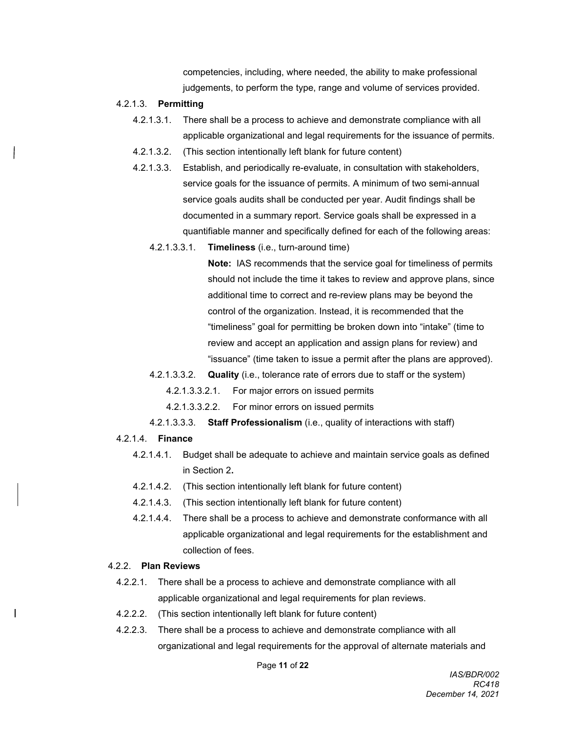competencies, including, where needed, the ability to make professional judgements, to perform the type, range and volume of services provided.

#### 4.2.1.3. **Permitting**

- 4.2.1.3.1. There shall be a process to achieve and demonstrate compliance with all applicable organizational and legal requirements for the issuance of permits.
- 4.2.1.3.2. (This section intentionally left blank for future content)
- 4.2.1.3.3. Establish, and periodically re-evaluate, in consultation with stakeholders, service goals for the issuance of permits. A minimum of two semi-annual service goals audits shall be conducted per year. Audit findings shall be documented in a summary report. Service goals shall be expressed in a quantifiable manner and specifically defined for each of the following areas:
	- 4.2.1.3.3.1. **Timeliness** (i.e., turn-around time)

**Note:** IAS recommends that the service goal for timeliness of permits should not include the time it takes to review and approve plans, since additional time to correct and re-review plans may be beyond the control of the organization. Instead, it is recommended that the "timeliness" goal for permitting be broken down into "intake" (time to review and accept an application and assign plans for review) and "issuance" (time taken to issue a permit after the plans are approved).

4.2.1.3.3.2. **Quality** (i.e., tolerance rate of errors due to staff or the system)

4.2.1.3.3.2.1. For major errors on issued permits

- 4.2.1.3.3.2.2. For minor errors on issued permits
- 4.2.1.3.3.3. **Staff Professionalism** (i.e., quality of interactions with staff)

#### 4.2.1.4. **Finance**

- 4.2.1.4.1. Budget shall be adequate to achieve and maintain service goals as defined in Section 2**.**
- 4.2.1.4.2. (This section intentionally left blank for future content)
- 4.2.1.4.3. (This section intentionally left blank for future content)
- 4.2.1.4.4. There shall be a process to achieve and demonstrate conformance with all applicable organizational and legal requirements for the establishment and collection of fees.

#### 4.2.2. **Plan Reviews**

- 4.2.2.1. There shall be a process to achieve and demonstrate compliance with all applicable organizational and legal requirements for plan reviews.
- 4.2.2.2. (This section intentionally left blank for future content)
- 4.2.2.3. There shall be a process to achieve and demonstrate compliance with all organizational and legal requirements for the approval of alternate materials and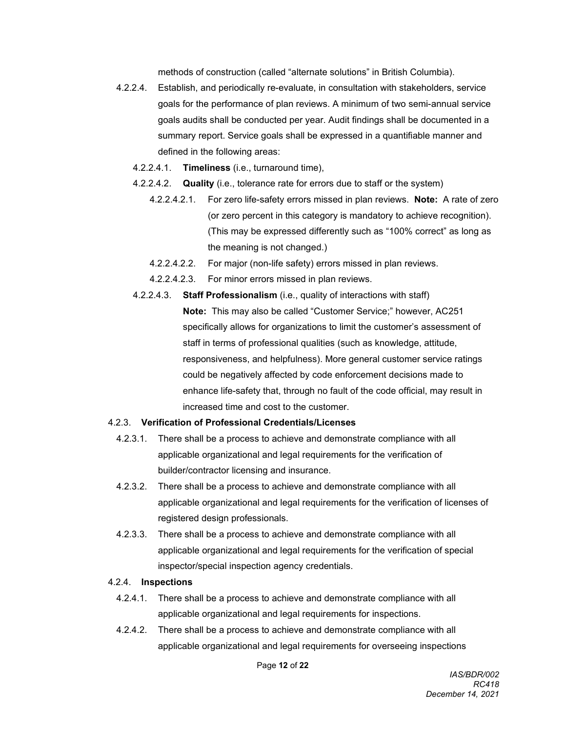methods of construction (called "alternate solutions" in British Columbia).

- 4.2.2.4. Establish, and periodically re-evaluate, in consultation with stakeholders, service goals for the performance of plan reviews. A minimum of two semi-annual service goals audits shall be conducted per year. Audit findings shall be documented in a summary report. Service goals shall be expressed in a quantifiable manner and defined in the following areas:
	- 4.2.2.4.1. **Timeliness** (i.e., turnaround time),
	- 4.2.2.4.2. **Quality** (i.e., tolerance rate for errors due to staff or the system)
		- 4.2.2.4.2.1. For zero life-safety errors missed in plan reviews. **Note:** A rate of zero (or zero percent in this category is mandatory to achieve recognition). (This may be expressed differently such as "100% correct" as long as the meaning is not changed.)
		- 4.2.2.4.2.2. For major (non-life safety) errors missed in plan reviews.
		- 4.2.2.4.2.3. For minor errors missed in plan reviews.
	- 4.2.2.4.3. **Staff Professionalism** (i.e., quality of interactions with staff) **Note:** This may also be called "Customer Service;" however, AC251 specifically allows for organizations to limit the customer's assessment of staff in terms of professional qualities (such as knowledge, attitude, responsiveness, and helpfulness). More general customer service ratings could be negatively affected by code enforcement decisions made to enhance life-safety that, through no fault of the code official, may result in increased time and cost to the customer.

#### 4.2.3. **Verification of Professional Credentials/Licenses**

- 4.2.3.1. There shall be a process to achieve and demonstrate compliance with all applicable organizational and legal requirements for the verification of builder/contractor licensing and insurance.
- 4.2.3.2. There shall be a process to achieve and demonstrate compliance with all applicable organizational and legal requirements for the verification of licenses of registered design professionals.
- 4.2.3.3. There shall be a process to achieve and demonstrate compliance with all applicable organizational and legal requirements for the verification of special inspector/special inspection agency credentials.

#### 4.2.4. **Inspections**

- 4.2.4.1. There shall be a process to achieve and demonstrate compliance with all applicable organizational and legal requirements for inspections.
- 4.2.4.2. There shall be a process to achieve and demonstrate compliance with all applicable organizational and legal requirements for overseeing inspections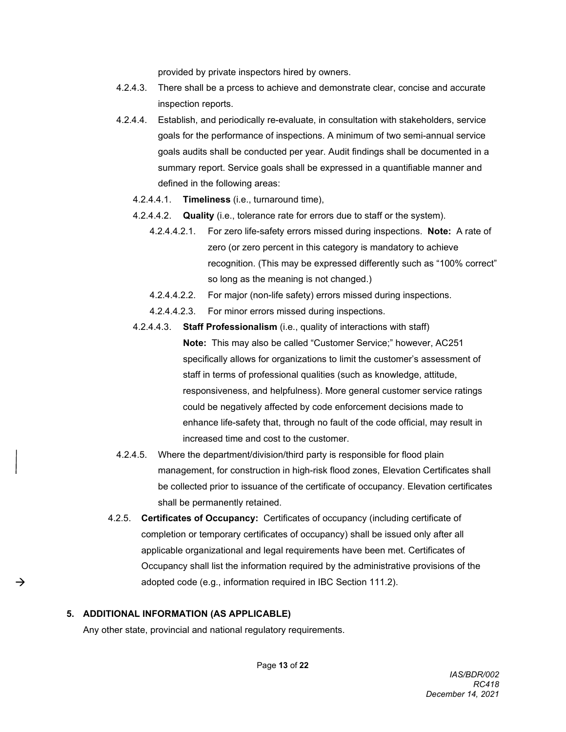provided by private inspectors hired by owners.

- 4.2.4.3. There shall be a prcess to achieve and demonstrate clear, concise and accurate inspection reports.
- 4.2.4.4. Establish, and periodically re-evaluate, in consultation with stakeholders, service goals for the performance of inspections. A minimum of two semi-annual service goals audits shall be conducted per year. Audit findings shall be documented in a summary report. Service goals shall be expressed in a quantifiable manner and defined in the following areas:
	- 4.2.4.4.1. **Timeliness** (i.e., turnaround time),
	- 4.2.4.4.2. **Quality** (i.e., tolerance rate for errors due to staff or the system).
		- 4.2.4.4.2.1. For zero life-safety errors missed during inspections. **Note:** A rate of zero (or zero percent in this category is mandatory to achieve recognition. (This may be expressed differently such as "100% correct" so long as the meaning is not changed.)
		- 4.2.4.4.2.2. For major (non-life safety) errors missed during inspections.
		- 4.2.4.4.2.3. For minor errors missed during inspections.
	- 4.2.4.4.3. **Staff Professionalism** (i.e., quality of interactions with staff)

**Note:** This may also be called "Customer Service;" however, AC251 specifically allows for organizations to limit the customer's assessment of staff in terms of professional qualities (such as knowledge, attitude, responsiveness, and helpfulness). More general customer service ratings could be negatively affected by code enforcement decisions made to enhance life-safety that, through no fault of the code official, may result in increased time and cost to the customer.

- 4.2.4.5. Where the department/division/third party is responsible for flood plain management, for construction in high-risk flood zones, Elevation Certificates shall be collected prior to issuance of the certificate of occupancy. Elevation certificates shall be permanently retained.
- 4.2.5. **Certificates of Occupancy:** Certificates of occupancy (including certificate of completion or temporary certificates of occupancy) shall be issued only after all applicable organizational and legal requirements have been met. Certificates of Occupancy shall list the information required by the administrative provisions of the adopted code (e.g., information required in IBC Section 111.2).

#### **5. ADDITIONAL INFORMATION (AS APPLICABLE)**

 $\rightarrow$ 

Any other state, provincial and national regulatory requirements.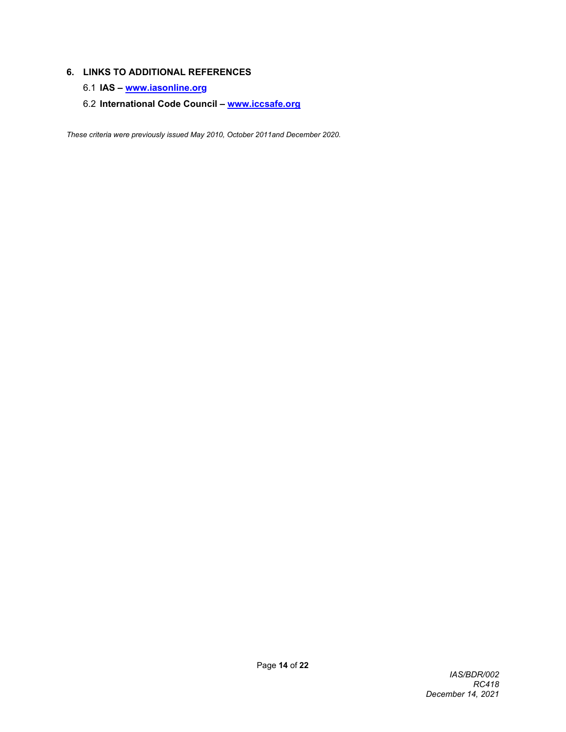# **6. LINKS TO ADDITIONAL REFERENCES**

- 6.1 **IAS – [www.iasonline.org](http://www.iasonline.or/)**
- 6.2 **International Code Council – [www.iccsafe.org](http://www.iccsafe.org/)**

*These criteria were previously issued May 2010, October 2011and December 2020.*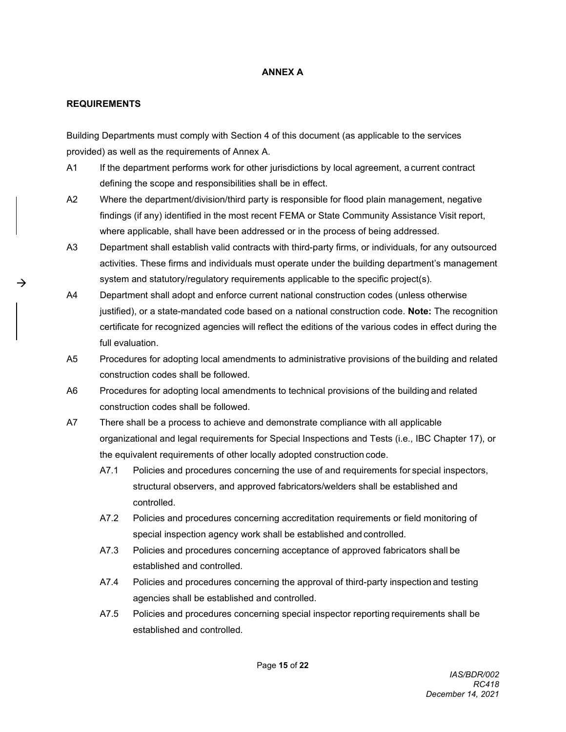# **ANNEX A**

### **REQUIREMENTS**

 $\rightarrow$ 

Building Departments must comply with Section 4 of this document (as applicable to the services provided) as well as the requirements of Annex A.

- A1 If the department performs work for other jurisdictions by local agreement, a current contract defining the scope and responsibilities shall be in effect.
- A2 Where the department/division/third party is responsible for flood plain management, negative findings (if any) identified in the most recent FEMA or State Community Assistance Visit report, where applicable, shall have been addressed or in the process of being addressed.
- A3 Department shall establish valid contracts with third-party firms, or individuals, for any outsourced activities. These firms and individuals must operate under the building department's management system and statutory/regulatory requirements applicable to the specific project(s).
- A4 Department shall adopt and enforce current national construction codes (unless otherwise justified), or a state-mandated code based on a national construction code. **Note:** The recognition certificate for recognized agencies will reflect the editions of the various codes in effect during the full evaluation.
- A5 Procedures for adopting local amendments to administrative provisions of the building and related construction codes shall be followed.
- A6 Procedures for adopting local amendments to technical provisions of the building and related construction codes shall be followed.
- A7 There shall be a process to achieve and demonstrate compliance with all applicable organizational and legal requirements for Special Inspections and Tests (i.e., IBC Chapter 17), or the equivalent requirements of other locally adopted construction code.
	- A7.1 Policies and procedures concerning the use of and requirements for special inspectors, structural observers, and approved fabricators/welders shall be established and controlled.
	- A7.2 Policies and procedures concerning accreditation requirements or field monitoring of special inspection agency work shall be established and controlled.
	- A7.3 Policies and procedures concerning acceptance of approved fabricators shall be established and controlled.
	- A7.4 Policies and procedures concerning the approval of third-party inspection and testing agencies shall be established and controlled.
	- A7.5 Policies and procedures concerning special inspector reporting requirements shall be established and controlled.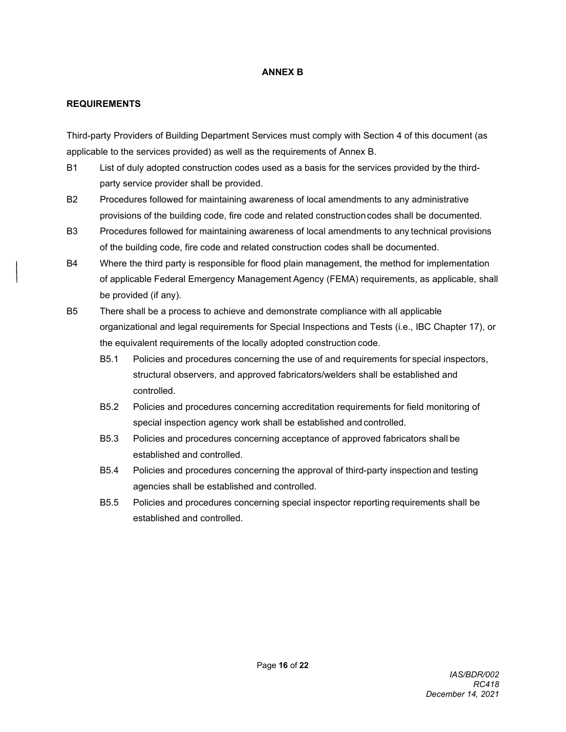# **ANNEX B**

### **REQUIREMENTS**

Third-party Providers of Building Department Services must comply with Section 4 of this document (as applicable to the services provided) as well as the requirements of Annex B.

- B1 List of duly adopted construction codes used as a basis for the services provided by the thirdparty service provider shall be provided.
- B2 Procedures followed for maintaining awareness of local amendments to any administrative provisions of the building code, fire code and related constructioncodes shall be documented.
- B3 Procedures followed for maintaining awareness of local amendments to any technical provisions of the building code, fire code and related construction codes shall be documented.
- B4 Where the third party is responsible for flood plain management, the method for implementation of applicable Federal Emergency Management Agency (FEMA) requirements, as applicable, shall be provided (if any).
- B5 There shall be a process to achieve and demonstrate compliance with all applicable organizational and legal requirements for Special Inspections and Tests (i.e., IBC Chapter 17), or the equivalent requirements of the locally adopted construction code.
	- B5.1 Policies and procedures concerning the use of and requirements for special inspectors, structural observers, and approved fabricators/welders shall be established and controlled.
	- B5.2 Policies and procedures concerning accreditation requirements for field monitoring of special inspection agency work shall be established and controlled.
	- B5.3 Policies and procedures concerning acceptance of approved fabricators shall be established and controlled.
	- B5.4 Policies and procedures concerning the approval of third-party inspection and testing agencies shall be established and controlled.
	- B5.5 Policies and procedures concerning special inspector reporting requirements shall be established and controlled.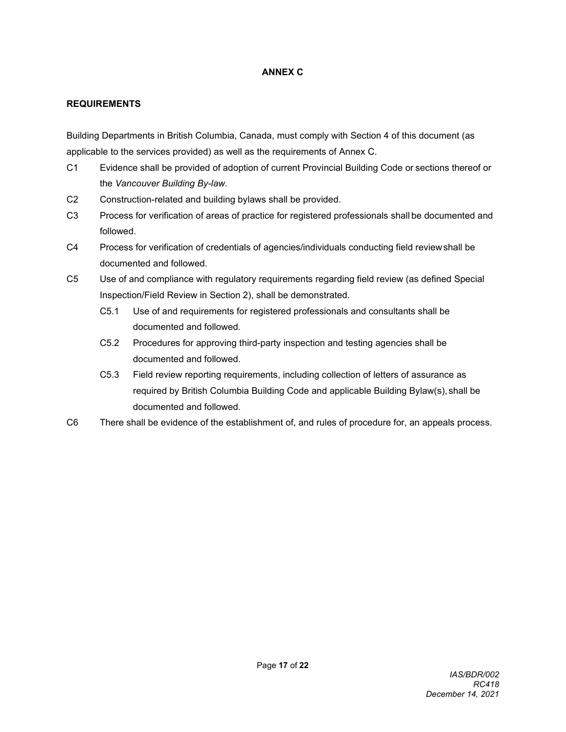# **ANNEX C**

# **REQUIREMENTS**

Building Departments in British Columbia, Canada, must comply with Section 4 of this document (as applicable to the services provided) as well as the requirements of Annex C.

- C1 Evidence shall be provided of adoption of current Provincial Building Code or sections thereof or the *Vancouver Building By-law.*
- C2 Construction-related and building bylaws shall be provided.
- C3 Process for verification of areas of practice for registered professionals shall be documented and followed.
- C4 Process for verification of credentials of agencies/individuals conducting field reviewshall be documented and followed.
- C5 Use of and compliance with regulatory requirements regarding field review (as defined Special Inspection/Field Review in Section 2), shall be demonstrated.
	- C5.1 Use of and requirements for registered professionals and consultants shall be documented and followed.
	- C5.2 Procedures for approving third-party inspection and testing agencies shall be documented and followed.
	- C5.3 Field review reporting requirements, including collection of letters of assurance as required by British Columbia Building Code and applicable Building Bylaw(s), shall be documented and followed.
- C6 There shall be evidence of the establishment of, and rules of procedure for, an appeals process.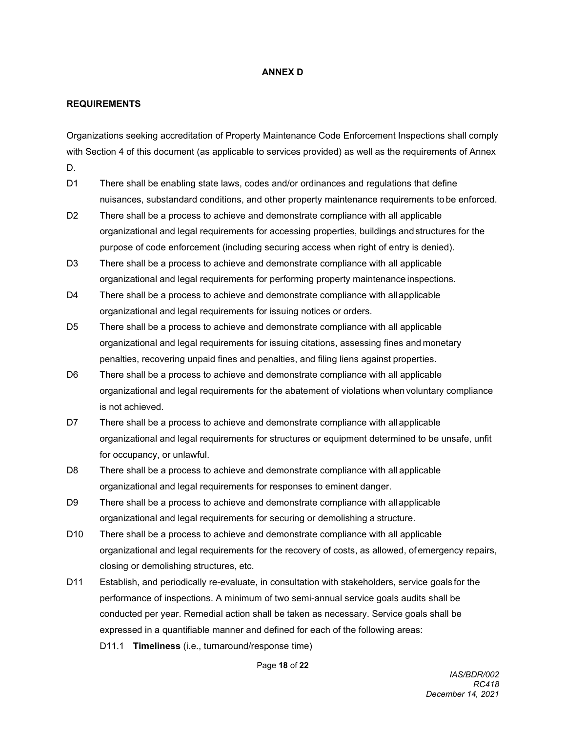#### **ANNEX D**

#### **REQUIREMENTS**

Organizations seeking accreditation of Property Maintenance Code Enforcement Inspections shall comply with Section 4 of this document (as applicable to services provided) as well as the requirements of Annex D.

- D1 There shall be enabling state laws, codes and/or ordinances and regulations that define nuisances, substandard conditions, and other property maintenance requirements to be enforced.
- D2 There shall be a process to achieve and demonstrate compliance with all applicable organizational and legal requirements for accessing properties, buildings andstructures for the purpose of code enforcement (including securing access when right of entry is denied).
- D3 There shall be a process to achieve and demonstrate compliance with all applicable organizational and legal requirements for performing property maintenance inspections.
- D4 There shall be a process to achieve and demonstrate compliance with allapplicable organizational and legal requirements for issuing notices or orders.
- D5 There shall be a process to achieve and demonstrate compliance with all applicable organizational and legal requirements for issuing citations, assessing fines and monetary penalties, recovering unpaid fines and penalties, and filing liens against properties.
- D6 There shall be a process to achieve and demonstrate compliance with all applicable organizational and legal requirements for the abatement of violations when voluntary compliance is not achieved.
- D7 There shall be a process to achieve and demonstrate compliance with all applicable organizational and legal requirements for structures or equipment determined to be unsafe, unfit for occupancy, or unlawful.
- D8 There shall be a process to achieve and demonstrate compliance with all applicable organizational and legal requirements for responses to eminent danger.
- D9 There shall be a process to achieve and demonstrate compliance with allapplicable organizational and legal requirements for securing or demolishing a structure.
- D10 There shall be a process to achieve and demonstrate compliance with all applicable organizational and legal requirements for the recovery of costs, as allowed, ofemergency repairs, closing or demolishing structures, etc.
- D11 Establish, and periodically re-evaluate, in consultation with stakeholders, service goals for the performance of inspections. A minimum of two semi-annual service goals audits shall be conducted per year. Remedial action shall be taken as necessary. Service goals shall be expressed in a quantifiable manner and defined for each of the following areas:
	- D11.1 **Timeliness** (i.e., turnaround/response time)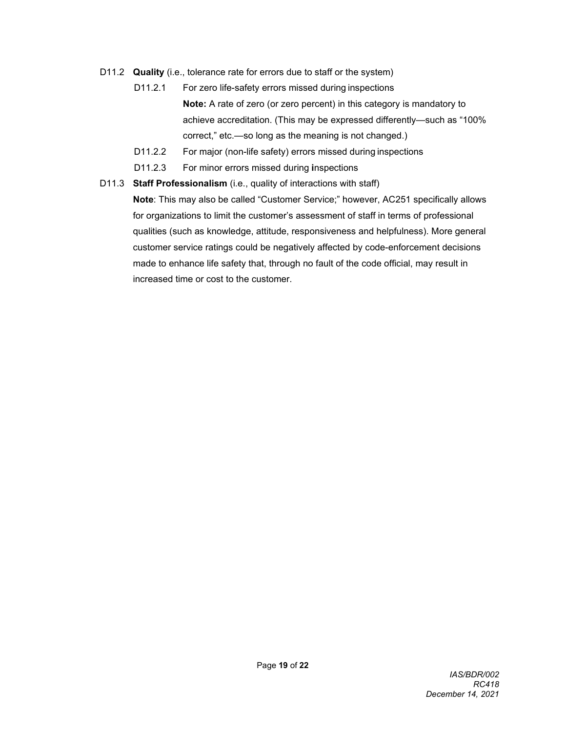- D11.2 **Quality** (i.e., tolerance rate for errors due to staff or the system)
	- D11.2.1 For zero life-safety errors missed during inspections **Note:** A rate of zero (or zero percent) in this category is mandatory to achieve accreditation. (This may be expressed differently—such as "100% correct," etc.—so long as the meaning is not changed.)
	- D11.2.2 For major (non-life safety) errors missed during inspections
	- D11.2.3 For minor errors missed during **i**nspections
- D11.3 **Staff Professionalism** (i.e., quality of interactions with staff)

**Note**: This may also be called "Customer Service;" however, AC251 specifically allows for organizations to limit the customer's assessment of staff in terms of professional qualities (such as knowledge, attitude, responsiveness and helpfulness). More general customer service ratings could be negatively affected by code-enforcement decisions made to enhance life safety that, through no fault of the code official, may result in increased time or cost to the customer.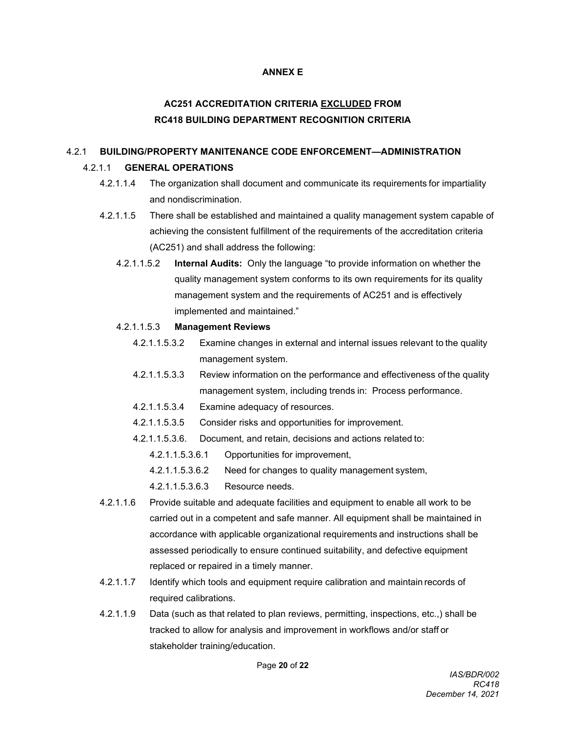### **ANNEX E**

# **AC251 ACCREDITATION CRITERIA EXCLUDED FROM RC418 BUILDING DEPARTMENT RECOGNITION CRITERIA**

# 4.2.1 **BUILDING/PROPERTY MANITENANCE CODE ENFORCEMENT—ADMINISTRATION**

### 4.2.1.1 **GENERAL OPERATIONS**

- 4.2.1.1.4 The organization shall document and communicate its requirements for impartiality and nondiscrimination.
- 4.2.1.1.5 There shall be established and maintained a quality management system capable of achieving the consistent fulfillment of the requirements of the accreditation criteria (AC251) and shall address the following:
	- 4.2.1.1.5.2 **Internal Audits:** Only the language "to provide information on whether the quality management system conforms to its own requirements for its quality management system and the requirements of AC251 and is effectively implemented and maintained."

#### 4.2.1.1.5.3 **Management Reviews**

- 4.2.1.1.5.3.2 Examine changes in external and internal issues relevant to the quality management system.
- 4.2.1.1.5.3.3 Review information on the performance and effectiveness of the quality management system, including trends in: Process performance.
- 4.2.1.1.5.3.4 Examine adequacy of resources.
- 4.2.1.1.5.3.5 Consider risks and opportunities for improvement.
- 4.2.1.1.5.3.6. Document, and retain, decisions and actions related to:
	- 4.2.1.1.5.3.6.1 Opportunities for improvement,
	- 4.2.1.1.5.3.6.2 Need for changes to quality management system,
	- 4.2.1.1.5.3.6.3 Resource needs.
- 4.2.1.1.6 Provide suitable and adequate facilities and equipment to enable all work to be carried out in a competent and safe manner. All equipment shall be maintained in accordance with applicable organizational requirements and instructions shall be assessed periodically to ensure continued suitability, and defective equipment replaced or repaired in a timely manner.
- 4.2.1.1.7 Identify which tools and equipment require calibration and maintain records of required calibrations.
- 4.2.1.1.9 Data (such as that related to plan reviews, permitting, inspections, etc.,) shall be tracked to allow for analysis and improvement in workflows and/or staff or stakeholder training/education.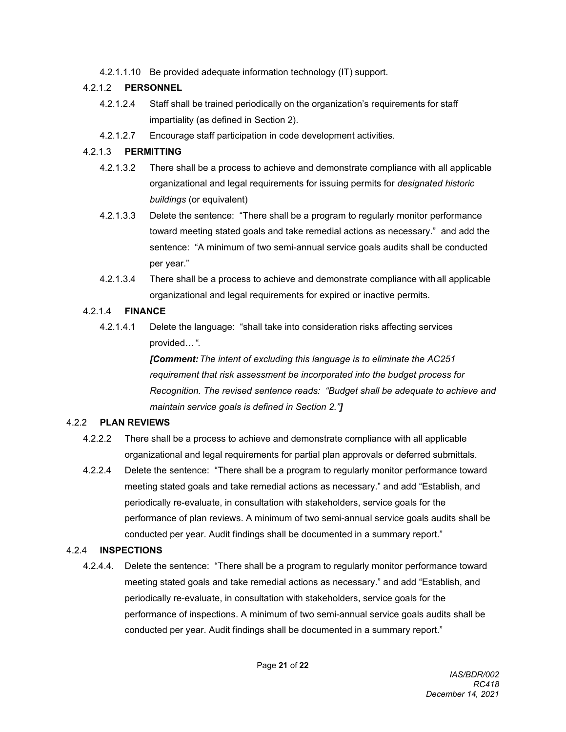4.2.1.1.10 Be provided adequate information technology (IT) support.

# 4.2.1.2 **PERSONNEL**

- 4.2.1.2.4 Staff shall be trained periodically on the organization's requirements for staff impartiality (as defined in Section 2).
- 4.2.1.2.7 Encourage staff participation in code development activities.

# 4.2.1.3 **PERMITTING**

- 4.2.1.3.2 There shall be a process to achieve and demonstrate compliance with all applicable organizational and legal requirements for issuing permits for *designated historic buildings* (or equivalent)
- 4.2.1.3.3 Delete the sentence: "There shall be a program to regularly monitor performance toward meeting stated goals and take remedial actions as necessary." and add the sentence: "A minimum of two semi-annual service goals audits shall be conducted per year."
- 4.2.1.3.4 There shall be a process to achieve and demonstrate compliance with all applicable organizational and legal requirements for expired or inactive permits.

# 4.2.1.4 **FINANCE**

4.2.1.4.1 Delete the language: "shall take into consideration risks affecting services provided…".

> *[Comment:The intent of excluding this language is to eliminate the AC251 requirement that risk assessment be incorporated into the budget process for Recognition. The revised sentence reads: "Budget shall be adequate to achieve and maintain service goals is defined in Section 2."]*

# 4.2.2 **PLAN REVIEWS**

- 4.2.2.2 There shall be a process to achieve and demonstrate compliance with all applicable organizational and legal requirements for partial plan approvals or deferred submittals.
- 4.2.2.4 Delete the sentence: "There shall be a program to regularly monitor performance toward meeting stated goals and take remedial actions as necessary." and add "Establish, and periodically re-evaluate, in consultation with stakeholders, service goals for the performance of plan reviews. A minimum of two semi-annual service goals audits shall be conducted per year. Audit findings shall be documented in a summary report."

# 4.2.4 **INSPECTIONS**

4.2.4.4. Delete the sentence: "There shall be a program to regularly monitor performance toward meeting stated goals and take remedial actions as necessary." and add "Establish, and periodically re-evaluate, in consultation with stakeholders, service goals for the performance of inspections. A minimum of two semi-annual service goals audits shall be conducted per year. Audit findings shall be documented in a summary report."